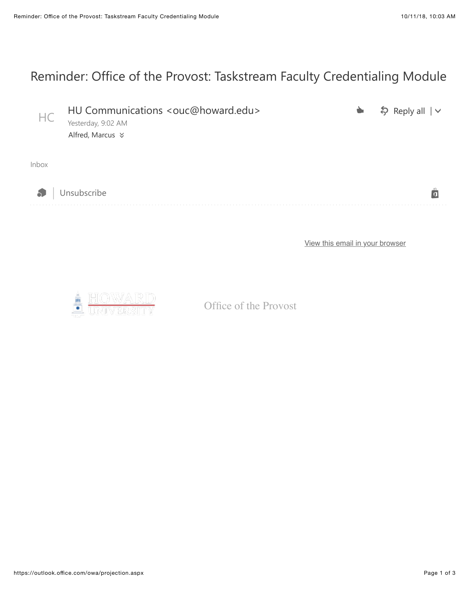## Reminder: Office of the Provost: Taskstream Faculty Credentialing Module

| HC           | HU Communications <ouc@howard.edu><br/>Yesterday, 9:02 AM</ouc@howard.edu> | $\frac{1}{2}$ Reply all $\sqrt{ }$ |
|--------------|----------------------------------------------------------------------------|------------------------------------|
|              | Alfred, Marcus $★$                                                         |                                    |
|              |                                                                            |                                    |
| <b>Inbox</b> |                                                                            |                                    |
|              |                                                                            |                                    |



es a la unsubscribe de la comparación de la comparación de la comparación de la comparación de la comparación de la comparación de la comparación de la comparación de la comparación de la comparación de la comparación de l

[View this email in your browser](https://na01.safelinks.protection.outlook.com/?url=https%3A%2F%2Fmailchi.mp%2F1f78ead18681%2Foffice-of-the-provost-dean-bernard-mair-announcement-603513%3Fe%3D0058eb68db&data=02%7C01%7CmarAlfred%40Howard.edu%7C13511a1b8bc44fa6de7308d62eb0b0a6%7C02ac0c07b75f46bf9b133630ba94bb69%7C0%7C0%7C636747733745538570&sdata=6gBdljSdN6f97NBsx4HnSuHvRpKUEdrufHlIubMadSI%3D&reserved=0)



Office of the Provost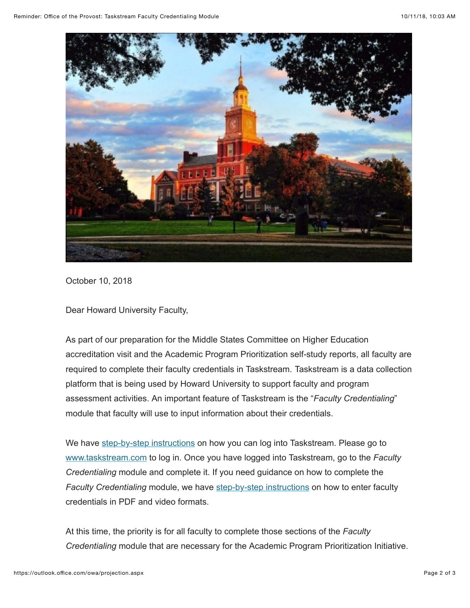

October 10, 2018

Dear Howard University Faculty,

As part of our preparation for the Middle States Committee on Higher Education accreditation visit and the Academic Program Prioritization self-study reports, all faculty are required to complete their faculty credentials in Taskstream. Taskstream is a data collection platform that is being used by Howard University to support faculty and program assessment activities. An important feature of Taskstream is the "*Faculty Credentialing*" module that faculty will use to input information about their credentials.

We have [step-by-step instructions](https://na01.safelinks.protection.outlook.com/?url=https%3A%2F%2Fhoward.us3.list-manage.com%2Ftrack%2Fclick%3Fu%3Dda96b3e11d604fc7332653c0e%26id%3Dd69551a5cf%26e%3D0058eb68db&data=02%7C01%7CmarAlfred%40Howard.edu%7C13511a1b8bc44fa6de7308d62eb0b0a6%7C02ac0c07b75f46bf9b133630ba94bb69%7C0%7C0%7C636747733745548575&sdata=Eg805kktlapaQpWJnS9HZKt%2Fs%2FamAeU7dTm8yr7WduQ%3D&reserved=0) on how you can log into Taskstream. Please go to [www.taskstream.com](https://na01.safelinks.protection.outlook.com/?url=https%3A%2F%2Fhoward.us3.list-manage.com%2Ftrack%2Fclick%3Fu%3Dda96b3e11d604fc7332653c0e%26id%3De4530d0390%26e%3D0058eb68db&data=02%7C01%7CmarAlfred%40Howard.edu%7C13511a1b8bc44fa6de7308d62eb0b0a6%7C02ac0c07b75f46bf9b133630ba94bb69%7C0%7C0%7C636747733745548575&sdata=0d2NLjcxbfIAptNvIOYvFI95Eh3NSAjbdhy8iF7cJhQ%3D&reserved=0) to log in. Once you have logged into Taskstream, go to the *Faculty Credentialing* module and complete it. If you need guidance on how to complete the Faculty Credentialing module, we have [step-by-step instructions](https://na01.safelinks.protection.outlook.com/?url=https%3A%2F%2Fhoward.us3.list-manage.com%2Ftrack%2Fclick%3Fu%3Dda96b3e11d604fc7332653c0e%26id%3D37c058e2a9%26e%3D0058eb68db&data=02%7C01%7CmarAlfred%40Howard.edu%7C13511a1b8bc44fa6de7308d62eb0b0a6%7C02ac0c07b75f46bf9b133630ba94bb69%7C0%7C0%7C636747733745558580&sdata=EWRfCssMPiD1wiSNFGkOulh0Bzu988LFm%2F%2Bl%2BgXzNUY%3D&reserved=0) on how to enter faculty credentials in PDF and video formats.

At this time, the priority is for all faculty to complete those sections of the *Faculty Credentialing* module that are necessary for the Academic Program Prioritization Initiative.